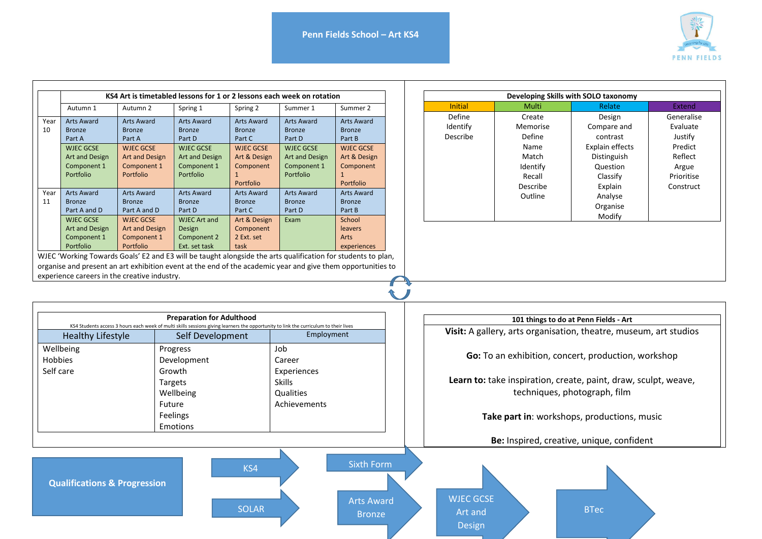Sixth Form

∼

Arts Award Bronze



|                                                                                                              | KS4 Art is timetabled lessons for 1 or 2 lessons each week on rotation |                         |                         |                         |                         |                         |  |
|--------------------------------------------------------------------------------------------------------------|------------------------------------------------------------------------|-------------------------|-------------------------|-------------------------|-------------------------|-------------------------|--|
|                                                                                                              | Autumn 1                                                               | Autumn 2                | Spring 1                | Spring 2                | Summer 1                | Summer 2                |  |
| Year                                                                                                         | <b>Arts Award</b>                                                      | <b>Arts Award</b>       | <b>Arts Award</b>       | <b>Arts Award</b>       | <b>Arts Award</b>       | <b>Arts Award</b>       |  |
| 10                                                                                                           | <b>Bronze</b><br>Part A                                                | <b>Bronze</b><br>Part A | <b>Bronze</b><br>Part D | <b>Bronze</b><br>Part C | <b>Bronze</b><br>Part D | <b>Bronze</b><br>Part B |  |
|                                                                                                              | <b>WJEC GCSE</b>                                                       | <b>WJEC GCSE</b>        | <b>WJEC GCSE</b>        | <b>WJEC GCSE</b>        | <b>WJEC GCSE</b>        | <b>WJEC GCSE</b>        |  |
|                                                                                                              | <b>Art and Design</b>                                                  | <b>Art and Design</b>   | Art and Design          | Art & Design            | Art and Design          | Art & Design            |  |
|                                                                                                              | Component 1                                                            | Component 1             | Component 1             | Component               | Component 1             | Component               |  |
|                                                                                                              | Portfolio                                                              | Portfolio               | Portfolio               | 1                       | Portfolio               | 1                       |  |
|                                                                                                              |                                                                        |                         |                         | Portfolio               |                         | Portfolio               |  |
| Year                                                                                                         | <b>Arts Award</b>                                                      | <b>Arts Award</b>       | <b>Arts Award</b>       | <b>Arts Award</b>       | <b>Arts Award</b>       | <b>Arts Award</b>       |  |
| 11                                                                                                           | <b>Bronze</b>                                                          | <b>Bronze</b>           | <b>Bronze</b>           | <b>Bronze</b>           | <b>Bronze</b>           | <b>Bronze</b>           |  |
|                                                                                                              | Part A and D                                                           | Part A and D            | Part D                  | Part C                  | Part D                  | Part B                  |  |
|                                                                                                              | <b>WJEC GCSE</b>                                                       | <b>WJEC GCSE</b>        | <b>WJEC Art and</b>     | Art & Design            | Exam                    | School                  |  |
|                                                                                                              | <b>Art and Design</b>                                                  | <b>Art and Design</b>   | Design                  | Component               |                         | <b>leavers</b>          |  |
|                                                                                                              | Component 1                                                            | Component 1             | Component 2             | 2 Ext. set              |                         | Arts                    |  |
|                                                                                                              | Portfolio                                                              | Portfolio               | Ext. set task           | task                    |                         | experiences             |  |
| WJEC 'Working Towards Goals' E2 and E3 will be taught alongside the arts qualification for students to plan, |                                                                        |                         |                         |                         |                         |                         |  |
| organise and present an art exhibition event at the end of the academic year and give them opportunities to  |                                                                        |                         |                         |                         |                         |                         |  |

| Developing Skills with SOLO taxonomy |          |                        |            |  |  |  |
|--------------------------------------|----------|------------------------|------------|--|--|--|
| <b>Initial</b>                       | Multi    | Relate                 | Extend     |  |  |  |
| Define                               | Create   | Design                 | Generalise |  |  |  |
| Identify                             | Memorise | Compare and            | Evaluate   |  |  |  |
| Describe                             | Define   | contrast               | Justify    |  |  |  |
|                                      | Name     | <b>Explain effects</b> | Predict    |  |  |  |
|                                      | Match    | Distinguish            | Reflect    |  |  |  |
|                                      | Identify | Question               | Argue      |  |  |  |
|                                      | Recall   | Classify               | Prioritise |  |  |  |
|                                      | Describe | Explain                | Construct  |  |  |  |
|                                      | Outline  | Analyse                |            |  |  |  |
|                                      |          | Organise               |            |  |  |  |
|                                      |          | Modify                 |            |  |  |  |

| <b>Preparation for Adulthood</b><br>KS4 Students access 3 hours each week of multi skills sessions giving learners the opportunity to link the curriculum to their lives |                  |               |  |  |  |
|--------------------------------------------------------------------------------------------------------------------------------------------------------------------------|------------------|---------------|--|--|--|
| <b>Healthy Lifestyle</b>                                                                                                                                                 | Self Development | Employment    |  |  |  |
| Wellbeing                                                                                                                                                                | Progress         | Job           |  |  |  |
| Hobbies                                                                                                                                                                  | Development      | Career        |  |  |  |
| Self care                                                                                                                                                                | Growth           | Experiences   |  |  |  |
|                                                                                                                                                                          | <b>Targets</b>   | <b>Skills</b> |  |  |  |
|                                                                                                                                                                          | Wellbeing        | Qualities     |  |  |  |
|                                                                                                                                                                          | Future           | Achievements  |  |  |  |
|                                                                                                                                                                          | Feelings         |               |  |  |  |
|                                                                                                                                                                          | Emotions         |               |  |  |  |

SOLAR

KS4

experience careers in the creative industry.

**Qualifications & Progression** 

## **101 things to do at Penn Fields - Art Visit:** A gallery, arts organisation, theatre, museum, art studios **Go:** To an exhibition, concert, production, workshop **Learn to:** take inspiration, create, paint, draw, sculpt, weave, techniques, photograph, film **Take part in**: workshops, productions, music **Be:** Inspired, creative, unique, confident WJEC GCSE BTec

Art and Design